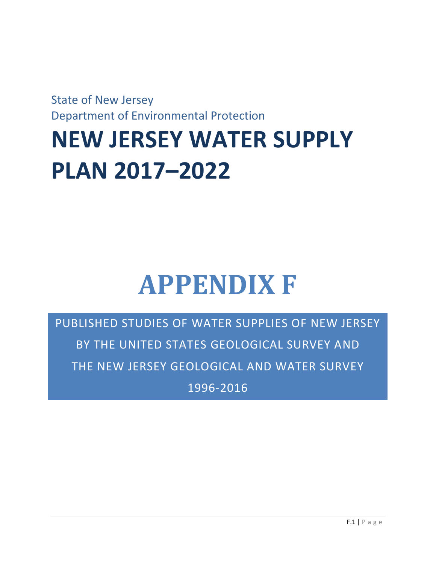State of New Jersey Department of Environmental Protection

## **NEW JERSEY WATER SUPPLY PLAN 2017–2022**

## **APPENDIX F**

PUBLISHED STUDIES OF WATER SUPPLIES OF NEW JERSEY BY THE UNITED STATES GEOLOGICAL SURVEY AND THE NEW JERSEY GEOLOGICAL AND WATER SURVEY 1996-2016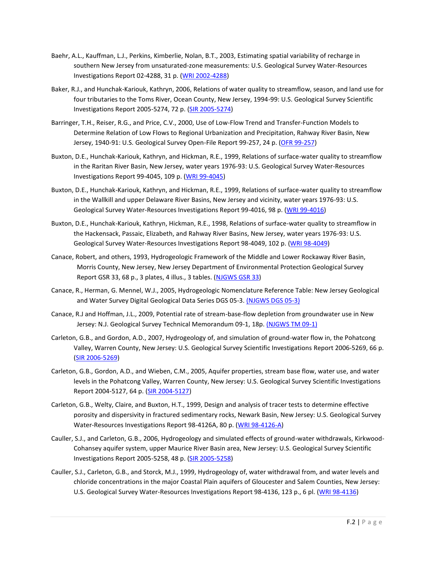- Baehr, A.L., Kauffman, L.J., Perkins, Kimberlie, Nolan, B.T., 2003, Estimating spatial variability of recharge in southern New Jersey from unsaturated-zone measurements: U.S. Geological Survey Water-Resources Investigations Report 02-4288, 31 p. [\(WRI 2002-4288\)](https://pubs.usgs.gov/wri/wri024288/)
- Baker, R.J., and Hunchak-Kariouk, Kathryn, 2006, Relations of water quality to streamflow, season, and land use for four tributaries to the Toms River, Ocean County, New Jersey, 1994-99: U.S. Geological Survey Scientific Investigations Report 2005-5274, 72 p. [\(SIR 2005-5274\)](https://pubs.er.usgs.gov/usgspubs/sir/sir20055274)
- Barringer, T.H., Reiser, R.G., and Price, C.V., 2000, Use of Low-Flow Trend and Transfer-Function Models to Determine Relation of Low Flows to Regional Urbanization and Precipitation, Rahway River Basin, New Jersey, 1940-91: U.S. Geological Survey Open-File Report 99-257, 24 p. [\(OFR 99-257\)](https://pubs.usgs.gov/of/1999/ofr99-257/)
- Buxton, D.E., Hunchak-Kariouk, Kathryn, and Hickman, R.E., 1999, Relations of surface-water quality to streamflow in the Raritan River Basin, New Jersey, water years 1976-93: U.S. Geological Survey Water-Resources Investigations Report 99-4045, 109 p. [\(WRI 99-4045\)](https://pubs.er.usgs.gov/usgspubs/wri/wri994045)
- Buxton, D.E., Hunchak-Kariouk, Kathryn, and Hickman, R.E., 1999, Relations of surface-water quality to streamflow in the Wallkill and upper Delaware River Basins, New Jersey and vicinity, water years 1976-93: U.S. Geological Survey Water-Resources Investigations Report 99-4016, 98 p. [\(WRI 99-4016\)](https://pubs.er.usgs.gov/usgspubs/wri/wri994016http:/pubs.er.usgs.gov/usgspubs/wri/wri994016)
- Buxton, D.E., Hunchak-Kariouk, Kathryn, Hickman, R.E., 1998, Relations of surface-water quality to streamflow in the Hackensack, Passaic, Elizabeth, and Rahway River Basins, New Jersey, water years 1976-93: U.S. Geological Survey Water-Resources Investigations Report 98-4049, 102 p. [\(WRI 98-4049\)](https://pubs.er.usgs.gov/usgspubs/wri/wri984049)
- Canace, Robert, and others, 1993, Hydrogeologic Framework of the Middle and Lower Rockaway River Basin, Morris County, New Jersey, New Jersey Department of Environmental Protection Geological Survey Report GSR 33, 68 p., 3 plates, 4 illus., 3 tables. [\(NJGWS GSR 33\)](http://www.state.nj.us/dep/njgs/pricelst/gsreport/gsr33.pdf)
- Canace, R., Herman, G. Mennel, W.J., 2005, Hydrogeologic Nomenclature Reference Table: New Jersey Geological and Water Survey Digital Geological Data Series DGS 05-3. [\(NJGWS DGS 05-3\)](http://www.state.nj.us/dep/njgs/geodata/dgs05-3.htm)
- Canace, R.J and Hoffman, J.L., 2009, Potential rate of stream-base-flow depletion from groundwater use in New Jersey: N.J. Geological Survey Technical Memorandum 09-1, 18p. [\(NJGWS TM 09-1\)](http://www.state.nj.us/dep/njgs/pricelst/tmemo/tm09-1.pdf)
- Carleton, G.B., and Gordon, A.D., 2007, Hydrogeology of, and simulation of ground-water flow in, the Pohatcong Valley, Warren County, New Jersey: U.S. Geological Survey Scientific Investigations Report 2006-5269, 66 p. [\(SIR 2006-5269\)](https://pubs.er.usgs.gov/usgspubs/sir/sir20065269)
- Carleton, G.B., Gordon, A.D., and Wieben, C.M., 2005, Aquifer properties, stream base flow, water use, and water levels in the Pohatcong Valley, Warren County, New Jersey: U.S. Geological Survey Scientific Investigations Report 2004-5127, 64 p. [\(SIR 2004-5127\)](https://pubs.er.usgs.gov/usgspubs/sir/sir20045127)
- Carleton, G.B., Welty, Claire, and Buxton, H.T., 1999, Design and analysis of tracer tests to determine effective porosity and dispersivity in fractured sedimentary rocks, Newark Basin, New Jersey: U.S. Geological Survey Water-Resources Investigations Report 98-4126A, 80 p. [\(WRI 98-4126-A\)](https://pubs.er.usgs.gov/usgspubs/wri/wri984126A)
- Cauller, S.J., and Carleton, G.B., 2006, Hydrogeology and simulated effects of ground-water withdrawals, Kirkwood-Cohansey aquifer system, upper Maurice River Basin area, New Jersey: U.S. Geological Survey Scientific Investigations Report 2005-5258, 48 p. [\(SIR 2005-5258\)](https://pubs.water.usgs.gov/sir2005-5258/)
- Cauller, S.J., Carleton, G.B., and Storck, M.J., 1999, Hydrogeology of, water withdrawal from, and water levels and chloride concentrations in the major Coastal Plain aquifers of Gloucester and Salem Counties, New Jersey: U.S. Geological Survey Water-Resources Investigations Report 98-4136, 123 p., 6 pl. [\(WRI 98-4136\)](https://pubs.er.usgs.gov/usgspubs/wri/wri984136)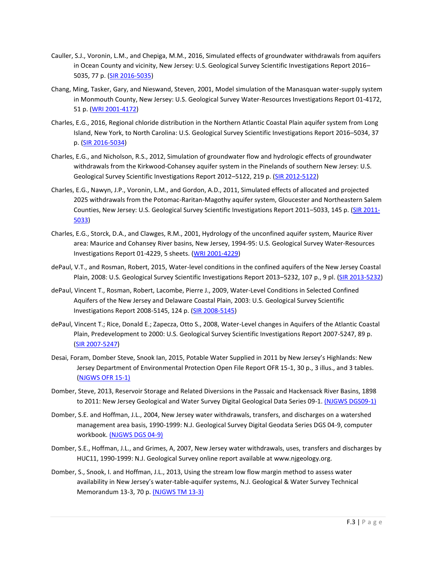- Cauller, S.J., Voronin, L.M., and Chepiga, M.M., 2016, Simulated effects of groundwater withdrawals from aquifers in Ocean County and vicinity, New Jersey: U.S. Geological Survey Scientific Investigations Report 2016– 5035, 77 p. [\(SIR 2016-5035\)](https://pubs.er.usgs.gov/publication/sir20165035)
- Chang, Ming, Tasker, Gary, and Nieswand, Steven, 2001, Model simulation of the Manasquan water-supply system in Monmouth County, New Jersey: U.S. Geological Survey Water-Resources Investigations Report 01-4172, 51 p. [\(WRI 2001-4172\)](https://pubs.er.usgs.gov/usgspubs/wri/wri014172)
- Charles, E.G., 2016, Regional chloride distribution in the Northern Atlantic Coastal Plain aquifer system from Long Island, New York, to North Carolina: U.S. Geological Survey Scientific Investigations Report 2016–5034, 37 p. [\(SIR 2016-5034\)](https://pubs.er.usgs.gov/publication/sir20165034)
- Charles, E.G., and Nicholson, R.S., 2012, Simulation of groundwater flow and hydrologic effects of groundwater withdrawals from the Kirkwood-Cohansey aquifer system in the Pinelands of southern New Jersey: U.S. Geological Survey Scientific Investigations Report 2012-5122, 219 p. [\(SIR 2012-5122\)](https://pubs.usgs.gov/sir/2012/5122/)
- Charles, E.G., Nawyn, J.P., Voronin, L.M., and Gordon, A.D., 2011, Simulated effects of allocated and projected 2025 withdrawals from the Potomac-Raritan-Magothy aquifer system, Gloucester and Northeastern Salem Counties, New Jersey: U.S. Geological Survey Scientific Investigations Report 2011–5033, 145 p. [\(SIR 2011-](https://pubs.usgs.gov/sir/2011/5033/) [5033\)](https://pubs.usgs.gov/sir/2011/5033/)
- Charles, E.G., Storck, D.A., and Clawges, R.M., 2001, Hydrology of the unconfined aquifer system, Maurice River area: Maurice and Cohansey River basins, New Jersey, 1994-95: U.S. Geological Survey Water-Resources Investigations Report 01-4229, 5 sheets. [\(WRI 2001-4229\)](https://pubs.er.usgs.gov/usgspubs/wri/wri014229)
- dePaul, V.T., and Rosman, Robert, 2015, Water-level conditions in the confined aquifers of the New Jersey Coastal Plain, 2008: U.S. Geological Survey Scientific Investigations Report 2013-5232, 107 p., 9 pl. [\(SIR 2013-5232\)](https://pubs.usgs.gov/sir/2013/5232/)
- dePaul, Vincent T., Rosman, Robert, Lacombe, Pierre J., 2009, Water-Level Conditions in Selected Confined Aquifers of the New Jersey and Delaware Coastal Plain, 2003: U.S. Geological Survey Scientific Investigations Report 2008-5145, 124 p. [\(SIR 2008-5145\)](https://pubs.usgs.gov/sir/2008/5145/)
- dePaul, Vincent T.; Rice, Donald E.; Zapecza, Otto S., 2008, Water-Level changes in Aquifers of the Atlantic Coastal Plain, Predevelopment to 2000: U.S. Geological Survey Scientific Investigations Report 2007-5247, 89 p. [\(SIR 2007-5247\)](https://pubs.er.usgs.gov/usgspubs/sir/sir20075247)
- Desai, Foram, Domber Steve, Snook Ian, 2015, Potable Water Supplied in 2011 by New Jersey's Highlands: New Jersey Department of Environmental Protection Open File Report OFR 15-1, 30 p., 3 illus., and 3 tables. [\(NJGWS OFR 15-1\)](http://www.state.nj.us/dep/njgs/pricelst/ofreport/ofr15-1.pdf)
- Domber, Steve, 2013, Reservoir Storage and Related Diversions in the Passaic and Hackensack River Basins, 1898 to 2011: New Jersey Geological and Water Survey Digital Geological Data Series 09-1[. \(NJGWS DGS09-1\)](http://www.state.nj.us/dep/njgs/geodata/dgs09-1.htm)
- Domber, S.E. and Hoffman, J.L., 2004, New Jersey water withdrawals, transfers, and discharges on a watershed management area basis, 1990-1999: N.J. Geological Survey Digital Geodata Series DGS 04-9, computer workbook[. \(NJGWS DGS 04-9\)](http://www.state.nj.us/dep/njgs/geodata/dgs04-9.htm)
- Domber, S.E., Hoffman, J.L., and Grimes, A, 2007, New Jersey water withdrawals, uses, transfers and discharges by HUC11, 1990-1999: N.J. Geological Survey online report available at www.njgeology.org.
- Domber, S., Snook, I. and Hoffman, J.L., 2013, Using the stream low flow margin method to assess water availability in New Jersey's water-table-aquifer systems, N.J. Geological & Water Survey Technical Memorandum 13-3, 70 p[. \(NJGWS TM 13-3\)](http://www.state.nj.us/dep/njgs/pricelst/tmemo/tm13-3.pdf)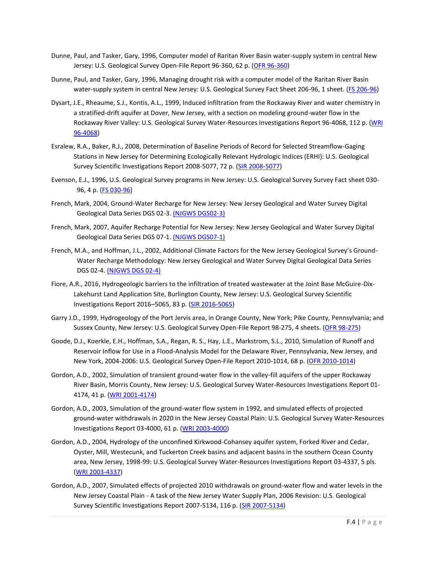- Dunne, Paul, and Tasker, Gary, 1996, Computer model of Raritan River Basin water-supply system in central New Jersey: U.S. Geological Survey Open-File Report 96-360, 62 p. [\(OFR 96-360\)](https://pubs.er.usgs.gov/usgspubs/ofr/ofr96360)
- Dunne, Paul, and Tasker, Gary, 1996, Managing drought risk with a computer model of the Raritan River Basin water-supply system in central New Jersey: U.S. Geological Survey Fact Sheet 206-96, 1 sheet. [\(FS 206-96\)](https://pubs.er.usgs.gov/usgspubs/fs/fs20696)
- Dysart, J.E., Rheaume, S.J., Kontis, A.L., 1999, Induced infiltration from the Rockaway River and water chemistry in a stratified-drift aquifer at Dover, New Jersey, with a section on modeling ground-water flow in the Rockaway River Valley: U.S. Geological Survey Water-Resources Investigations Report 96-4068, 112 p. (WRI [96-4068\)](https://pubs.er.usgs.gov/usgspubs/wri/wri964068)
- Esralew, R.A., Baker, R.J., 2008, Determination of Baseline Periods of Record for Selected Streamflow-Gaging Stations in New Jersey for Determining Ecologically Relevant Hydrologic Indices (ERHI): U.S. Geological Survey Scientific Investigations Report 2008-5077, 72 p. [\(SIR 2008-5077\)](https://pubs.er.usgs.gov/usgspubs/sir/sir20085077)
- Evenson, E.J., 1996, U.S. Geological Survey programs in New Jersey: U.S. Geological Survey Survey Fact sheet 030- 96, 4 p. [\(FS 030-96\)](https://pubs.usgs.gov/fs/FS-030-96/)
- French, Mark, 2004, Ground-Water Recharge for New Jersey: New Jersey Geological and Water Survey Digital Geological Data Series DGS 02-3. [\(NJGWS DGS02-3\)](http://www.state.nj.us/dep/njgs/geodata/dgs02-3.htm)
- French, Mark, 2007, Aquifer Recharge Potential for New Jersey: New Jersey Geological and Water Survey Digital Geological Data Series DGS 07-1. [\(NJGWS DGS07-1\)](http://www.state.nj.us/dep/njgs/geodata/dgs07-1.htm)
- French, M.A., and Hoffman, J.L., 2002, Additional Climate Factors for the New Jersey Geological Survey's Ground-Water Recharge Methodology: New Jersey Geological and Water Survey Digital Geological Data Series DGS 02-4. [\(NJGWS DGS 02-4\)](http://www.state.nj.us/dep/njgs/geodata/dgs02-4.htm)
- Fiore, A.R., 2016, Hydrogeologic barriers to the infiltration of treated wastewater at the Joint Base McGuire-Dix-Lakehurst Land Application Site, Burlington County, New Jersey: U.S. Geological Survey Scientific Investigations Report 2016–5065, 83 p. [\(SIR 2016-5065\)](https://pubs.er.usgs.gov/publication/sir20165065)
- Garry J.D., 1999, Hydrogeology of the Port Jervis area, in Orange County, New York; Pike County, Pennsylvania; and Sussex County, New Jersey: U.S. Geological Survey Open-File Report 98-275, 4 sheets. [\(OFR 98-275\)](https://pubs.er.usgs.gov/usgspubs/ofr/ofr98275)
- Goode, D.J., Koerkle, E.H., Hoffman, S.A., Regan, R. S., Hay, L.E., Markstrom, S.L., 2010, Simulation of Runoff and Reservoir Inflow for Use in a Flood-Analysis Model for the Delaware River, Pennsylvania, New Jersey, and New York, 2004-2006: U.S. Geological Survey Open-File Report 2010-1014, 68 p. [\(OFR 2010-1014\)](https://pubs.usgs.gov/of/2010/1014/)
- Gordon, A.D., 2002, Simulation of transient ground-water flow in the valley-fill aquifers of the upper Rockaway River Basin, Morris County, New Jersey: U.S. Geological Survey Water-Resources Investigations Report 01- 4174, 41 p. [\(WRI 2001-4174\)](https://pubs.usgs.gov/wri/wri01-4174/)
- Gordon, A.D., 2003, Simulation of the ground-water flow system in 1992, and simulated effects of projected ground-water withdrawals in 2020 in the New Jersey Coastal Plain: U.S. Geological Survey Water-Resources Investigations Report 03-4000, 61 p. [\(WRI 2003-4000\)](https://pubs.usgs.gov/wri/wri03-4000/)
- Gordon, A.D., 2004, Hydrology of the unconfined Kirkwood-Cohansey aquifer system, Forked River and Cedar, Oyster, Mill, Westecunk, and Tuckerton Creek basins and adjacent basins in the southern Ocean County area, New Jersey, 1998-99: U.S. Geological Survey Water-Resources Investigations Report 03-4337, 5 pls. [\(WRI 2003-4337\)](https://pubs.er.usgs.gov/usgspubs/wri/wri034337)
- Gordon, A.D., 2007, Simulated effects of projected 2010 withdrawals on ground-water flow and water levels in the New Jersey Coastal Plain - A task of the New Jersey Water Supply Plan, 2006 Revision: U.S. Geological Survey Scientific Investigations Report 2007-5134, 116 p. [\(SIR 2007-5134\)](https://pubs.er.usgs.gov/usgspubs/sir/sir20075134)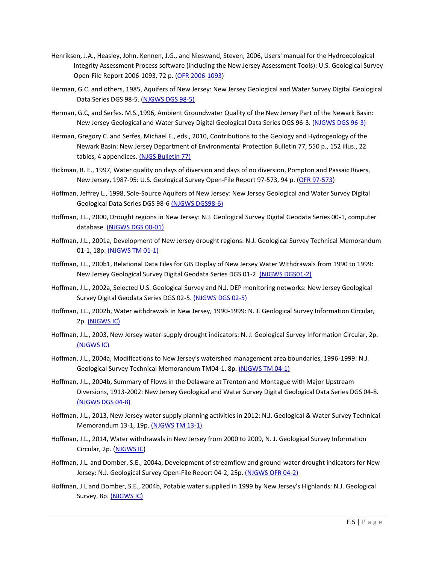- Henriksen, J.A., Heasley, John, Kennen, J.G., and Nieswand, Steven, 2006, Users' manual for the Hydroecological Integrity Assessment Process software (including the New Jersey Assessment Tools): U.S. Geological Survey Open-File Report 2006-1093, 72 p. [\(OFR 2006-1093\)](http://www.fort.usgs.gov/Products/Publications/pub_abstract.asp?PubID=21598)
- Herman, G.C. and others, 1985, Aquifers of New Jersey: New Jersey Geological and Water Survey Digital Geological Data Series DGS 98-5. [\(NJGWS DGS 98-5\)](http://www.state.nj.us/dep/njgs/geodata/dgs98-5.htm)
- Herman, G.C, and Serfes. M.S.,1996, Ambient Groundwater Quality of the New Jersey Part of the Newark Basin: New Jersey Geological and Water Survey Digital Geological Data Series DGS 96-3. [\(NJGWS DGS 96-3\)](http://www.state.nj.us/dep/njgs/geodata/dgs96-3.htm)
- Herman, Gregory C. and Serfes, Michael E., eds., 2010, Contributions to the Geology and Hydrogeology of the Newark Basin: New Jersey Department of Environmental Protection Bulletin 77, 550 p., 152 illus., 22 tables, 4 appendices[. \(NJGS Bulletin 77\)](http://www.state.nj.us/dep/njgs/enviroed/oldpubs/bulletin77.pdf)
- Hickman, R. E., 1997, Water quality on days of diversion and days of no diversion, Pompton and Passaic Rivers, New Jersey, 1987-95: U.S. Geological Survey Open-File Report 97-573, 94 p. [\(OFR 97-573\)](https://pubs.er.usgs.gov/usgspubs/ofr/ofr97573)
- Hoffman, Jeffrey L., 1998, Sole-Source Aquifers of New Jersey: New Jersey Geological and Water Survey Digital Geological Data Series DGS 98-[6 \(NJGWS DGS98-6\)](http://www.state.nj.us/dep/njgs/geodata/dgs98-6.htm)
- Hoffman, J.L., 2000, Drought regions in New Jersey: N.J. Geological Survey Digital Geodata Series 00-1, computer database. [\(NJGWS DGS 00-01\)](http://njgeology.org/geodata/dgs00-1.htm)
- Hoffman, J.L., 2001a, Development of New Jersey drought regions: N.J. Geological Survey Technical Memorandum 01-1, 18p. [\(NJGWS TM 01-1\)](http://njgeology.org/pricelst/tmemo/tm01-1.pdf)
- Hoffman, J.L., 200b1, Relational Data Files for GIS Display of New Jersey Water Withdrawals from 1990 to 1999: New Jersey Geological Survey Digital Geodata Series DGS 01-2[. \(NJGWS DGS01-2\)](http://www.state.nj.us/dep/njgs/geodata/dgs01-2.htm)
- Hoffman, J.L., 2002a, Selected U.S. Geological Survey and N.J. DEP monitoring networks: New Jersey Geological Survey Digital Geodata Series DGS 02-5[. \(NJGWS DGS 02-5\)](http://njgeology.org/geodata/dgs02-5.htm)
- Hoffman, J.L., 2002b, Water withdrawals in New Jersey, 1990-1999: N. J. Geological Survey Information Circular, 2p. [\(NJGWS IC\)](http://njgeology.org/enviroed/infocirc/withdrawals.pdf)
- Hoffman, J.L., 2003, New Jersey water-supply drought indicators: N. J. Geological Survey Information Circular, 2p. [\(NJGWS IC\)](http://njgeology.org/enviroed/infocirc/droughtind.pdf)
- Hoffman, J.L., 2004a, Modifications to New Jersey's watershed management area boundaries, 1996-1999: N.J. Geological Survey Technical Memorandum TM04-1, 8p[. \(NJGWS TM 04-1\)](http://njgeology.org/pricelst/tmemo/tm04-1.pdf)
- Hoffman, J.L., 2004b, Summary of Flows in the Delaware at Trenton and Montague with Major Upstream Diversions, 1913-2002: New Jersey Geological and Water Survey Digital Geological Data Series DGS 04-8. [\(NJGWS DGS 04-8\)](http://www.state.nj.us/dep/njgs/geodata/dgs04-8.htm)
- Hoffman, J.L., 2013, New Jersey water supply planning activities in 2012: N.J. Geological & Water Survey Technical Memorandum 13-1, 19p. [\(NJGWS TM 13-1\)](http://www.state.nj.us/dep/njgs/pricelst/tmemo/tm13-1.pdf)
- Hoffman, J.L., 2014, Water withdrawals in New Jersey from 2000 to 2009, N. J. Geological Survey Information Circular, 2p. [\(NJGWS IC\)](http://www.state.nj.us/dep/njgs/enviroed/infocirc/withdrawals.pdf)
- Hoffman, J.L. and Domber, S.E., 2004a, Development of streamflow and ground-water drought indicators for New Jersey: N.J. Geological Survey Open-File Report 04-2, 25p. (NJGWS [OFR 04-2\)](http://njgeology.org/pricelst/ofreport/ofr04-2.pdf)
- Hoffman, J.L and Domber, S.E., 2004b, Potable water supplied in 1999 by New Jersey's Highlands: N.J. Geological Survey, 8p. [\(NJGWS IC\)](http://www.njgeology.org/enviroed/freedwn/highpotwater.pdf)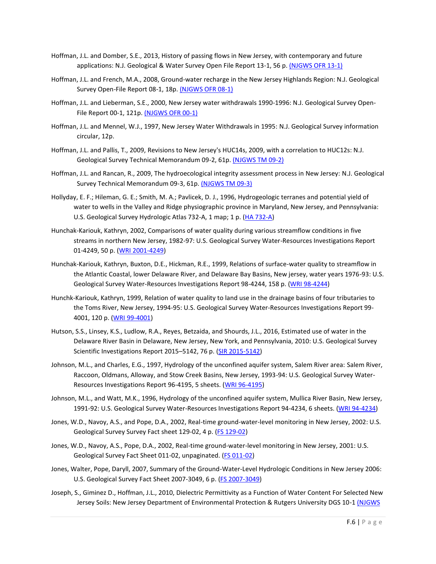- Hoffman, J.L. and Domber, S.E., 2013, History of passing flows in New Jersey, with contemporary and future applications: N.J. Geological & Water Survey Open File Report 13-1, 56 p. [\(NJGWS OFR 13-1\)](http://www.state.nj.us/dep/njgs/pricelst/ofreport/ofr13-1.pdf)
- Hoffman, J.L. and French, M.A., 2008, Ground-water recharge in the New Jersey Highlands Region: N.J. Geological Survey Open-File Report 08-1, 18p[. \(NJGWS OFR 08-1\)](http://njgeology.org/pricelst/ofreport/ofr08-1.pdf)
- Hoffman, J.L. and Lieberman, S.E., 2000, New Jersey water withdrawals 1990-1996: N.J. Geological Survey Open-File Report 00-1, 121p[. \(NJGWS OFR 00-1\)](http://njgeology.org/pricelst/ofreport/ofr00-1.pdf)
- Hoffman, J.L. and Mennel, W.J., 1997, New Jersey Water Withdrawals in 1995: N.J. Geological Survey information circular, 12p.
- Hoffman, J.L. and Pallis, T., 2009, Revisions to New Jersey's HUC14s, 2009, with a correlation to HUC12s: N.J. Geological Survey Technical Memorandum 09-2, 61p. [\(NJGWS TM 09-2\)](http://www.nj.gov/dep/wms/bears/docs/tm09-2.pdf)
- Hoffman, J.L. and Rancan, R., 2009, The hydroecological integrity assessment process in New Jersey: N.J. Geological Survey Technical Memorandum 09-3, 61p[. \(NJGWS TM 09-3\)](http://www.state.nj.us/dep/njgs/pricelst/tmemo/tm09-3.pdf)
- Hollyday, E. F.; Hileman, G. E.; Smith, M. A.; Pavlicek, D. J., 1996, Hydrogeologic terranes and potential yield of water to wells in the Valley and Ridge physiographic province in Maryland, New Jersey, and Pennsylvania: U.S. Geological Survey Hydrologic Atlas 732-A, 1 map; 1 p. [\(HA 732-A\)](https://pubs.er.usgs.gov/usgspubs/ha/ha732A)
- Hunchak-Kariouk, Kathryn, 2002, Comparisons of water quality during various streamflow conditions in five streams in northern New Jersey, 1982-97: U.S. Geological Survey Water-Resources Investigations Report 01-4249, 50 p. [\(WRI 2001-4249\)](https://pubs.er.usgs.gov/usgspubs/wri/wri014249)
- Hunchak-Kariouk, Kathryn, Buxton, D.E., Hickman, R.E., 1999, Relations of surface-water quality to streamflow in the Atlantic Coastal, lower Delaware River, and Delaware Bay Basins, New jersey, water years 1976-93: U.S. Geological Survey Water-Resources Investigations Report 98-4244, 158 p. [\(WRI 98-4244\)](https://pubs.er.usgs.gov/usgspubs/wri/wri984244)
- Hunchk-Kariouk, Kathryn, 1999, Relation of water quality to land use in the drainage basins of four tributaries to the Toms River, New Jersey, 1994-95: U.S. Geological Survey Water-Resources Investigations Report 99- 4001, 120 p. [\(WRI 99-4001\)](https://pubs.er.usgs.gov/usgspubs/wri/wri994001)
- Hutson, S.S., Linsey, K.S., Ludlow, R.A., Reyes, Betzaida, and Shourds, J.L., 2016, Estimated use of water in the Delaware River Basin in Delaware, New Jersey, New York, and Pennsylvania, 2010: U.S. Geological Survey Scientific Investigations Report 2015–5142, 76 p. [\(SIR 2015-5142\)](https://pubs.er.usgs.gov/publication/sir20155142)
- Johnson, M.L., and Charles, E.G., 1997, Hydrology of the unconfined aquifer system, Salem River area: Salem River, Raccoon, Oldmans, Alloway, and Stow Creek Basins, New Jersey, 1993-94: U.S. Geological Survey Water-Resources Investigations Report 96-4195, 5 sheets. [\(WRI 96-4195\)](https://pubs.er.usgs.gov/usgspubs/wri/wri964195)
- Johnson, M.L., and Watt, M.K., 1996, Hydrology of the unconfined aquifer system, Mullica River Basin, New Jersey, 1991-92: U.S. Geological Survey Water-Resources Investigations Report 94-4234, 6 sheets. [\(WRI 94-4234\)](https://pubs.er.usgs.gov/usgspubs/wri/wri944234)
- Jones, W.D., Navoy, A.S., and Pope, D.A., 2002, Real-time ground-water-level monitoring in New Jersey, 2002: U.S. Geological Survey Survey Fact sheet 129-02, 4 p. [\(FS 129-02\)](https://pubs.er.usgs.gov/publication/fs12902)
- Jones, W.D., Navoy, A.S., Pope, D.A., 2002, Real-time ground-water-level monitoring in New Jersey, 2001: U.S. Geological Survey Fact Sheet 011-02, unpaginated. [\(FS 011-02\)](https://pubs.water.usgs.gov/fs01102/)
- Jones, Walter, Pope, Daryll, 2007, Summary of the Ground-Water-Level Hydrologic Conditions in New Jersey 2006: U.S. Geological Survey Fact Sheet 2007-3049, 6 p. [\(FS 2007-3049\)](https://pubs.usgs.gov/fs/2007/3049/)
- Joseph, S., Giminez D., Hoffman, J.L., 2010, Dielectric Permittivity as a Function of Water Content For Selected New Jersey Soils: New Jersey Department of Environmental Protection & Rutgers University DGS 10-1 (NJGWS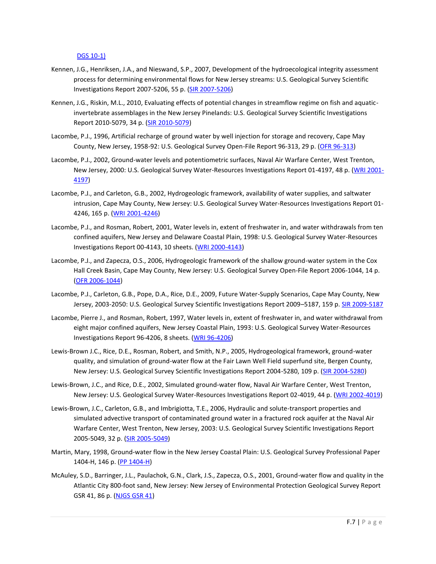## [DGS 10-1\)](http://www.state.nj.us/dep/njgs/geodata/dgs10-1.htm)

- Kennen, J.G., Henriksen, J.A., and Nieswand, S.P., 2007, Development of the hydroecological integrity assessment process for determining environmental flows for New Jersey streams: U.S. Geological Survey Scientific Investigations Report 2007-5206, 55 p. [\(SIR 2007-5206\)](https://pubs.er.usgs.gov/usgspubs/sir/sir20075206)
- Kennen, J.G., Riskin, M.L., 2010, Evaluating effects of potential changes in streamflow regime on fish and aquaticinvertebrate assemblages in the New Jersey Pinelands: U.S. Geological Survey Scientific Investigations Report 2010-5079, 34 p. [\(SIR 2010-5079\)](https://pubs.usgs.gov/sir/2010/5079/)
- Lacombe, P.J., 1996, Artificial recharge of ground water by well injection for storage and recovery, Cape May County, New Jersey, 1958-92: U.S. Geological Survey Open-File Report 96-313, 29 p. [\(OFR 96-313\)](https://pubs.er.usgs.gov/usgspubs/ofr/ofr96313)
- Lacombe, P.J., 2002, Ground-water levels and potentiometric surfaces, Naval Air Warfare Center, West Trenton, New Jersey, 2000: U.S. Geological Survey Water-Resources Investigations Report 01-4197, 48 p. [\(WRI 2001-](https://pubs.er.usgs.gov/usgspubs/wri/wri014197) [4197\)](https://pubs.er.usgs.gov/usgspubs/wri/wri014197)
- Lacombe, P.J., and Carleton, G.B., 2002, Hydrogeologic framework, availability of water supplies, and saltwater intrusion, Cape May County, New Jersey: U.S. Geological Survey Water-Resources Investigations Report 01- 4246, 165 p. [\(WRI 2001-4246\)](https://pubs.usgs.gov/wri/wri014246/)
- Lacombe, P.J., and Rosman, Robert, 2001, Water levels in, extent of freshwater in, and water withdrawals from ten confined aquifers, New Jersey and Delaware Coastal Plain, 1998: U.S. Geological Survey Water-Resources Investigations Report 00-4143, 10 sheets. [\(WRI 2000-4143\)](https://pubs.er.usgs.gov/usgspubs/wri/wri004143)
- Lacombe, P.J., and Zapecza, O.S., 2006, Hydrogeologic framework of the shallow ground-water system in the Cox Hall Creek Basin, Cape May County, New Jersey: U.S. Geological Survey Open-File Report 2006-1044, 14 p. [\(OFR 2006-1044\)](https://pubs.usgs.gov/of/2006/1044/)
- Lacombe, P.J., Carleton, G.B., Pope, D.A., Rice, D.E., 2009, Future Water-Supply Scenarios, Cape May County, New Jersey, 2003-2050: U.S. Geological Survey Scientific Investigations Report 2009–5187, 159 p. [SIR 2009-5187](https://pubs.usgs.gov/sir/2009/5187/)
- Lacombe, Pierre J., and Rosman, Robert, 1997, Water levels in, extent of freshwater in, and water withdrawal from eight major confined aquifers, New Jersey Coastal Plain, 1993: U.S. Geological Survey Water-Resources Investigations Report 96-4206, 8 sheets. [\(WRI 96-4206\)](https://pubs.usgs.gov/wri/wri96-4206/)
- Lewis-Brown J.C., Rice, D.E., Rosman, Robert, and Smith, N.P., 2005, Hydrogeological framework, ground-water quality, and simulation of ground-water flow at the Fair Lawn Well Field superfund site, Bergen County, New Jersey: U.S. Geological Survey Scientific Investigations Report 2004-5280, 109 p. [\(SIR 2004-5280\)](https://pubs.er.usgs.gov/usgspubs/sir/sir20045280)
- Lewis-Brown, J.C., and Rice, D.E., 2002, Simulated ground-water flow, Naval Air Warfare Center, West Trenton, New Jersey: U.S. Geological Survey Water-Resources Investigations Report 02-4019, 44 p. [\(WRI 2002-4019\)](https://pubs.er.usgs.gov/usgspubs/wri/wri024019)
- Lewis-Brown, J.C., Carleton, G.B., and Imbrigiotta, T.E., 2006, Hydraulic and solute-transport properties and simulated advective transport of contaminated ground water in a fractured rock aquifer at the Naval Air Warfare Center, West Trenton, New Jersey, 2003: U.S. Geological Survey Scientific Investigations Report 2005-5049, 32 p. [\(SIR 2005-5049\)](https://pubs.water.usgs.gov/sir2005-5049/)
- Martin, Mary, 1998, Ground-water flow in the New Jersey Coastal Plain: U.S. Geological Survey Professional Paper 1404-H, 146 p. [\(PP 1404-H\)](https://pubs.er.usgs.gov/usgspubs/pp/pp1404H)
- McAuley, S.D., Barringer, J.L., Paulachok, G.N., Clark, J.S., Zapecza, O.S., 2001, Ground-water flow and quality in the Atlantic City 800-foot sand, New Jersey: New Jersey of Environmental Protection Geological Survey Report GSR 41, 86 p. [\(NJGS GSR 41\)](http://www.nj.gov/dep/njgs/pricelst/gsreport/gsr41.pdf)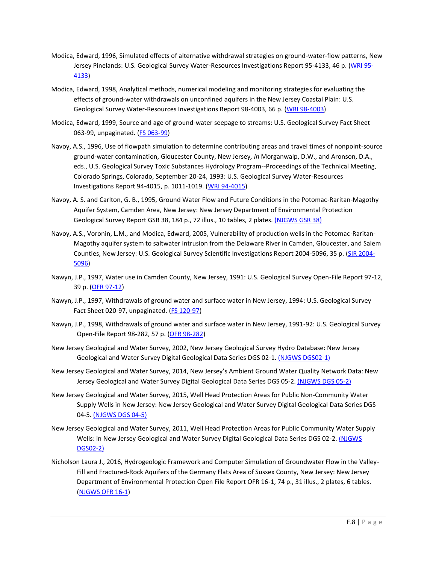- Modica, Edward, 1996, Simulated effects of alternative withdrawal strategies on ground-water-flow patterns, New Jersey Pinelands: U.S. Geological Survey Water-Resources Investigations Report 95-4133, 46 p. [\(WRI 95-](https://pubs.er.usgs.gov/usgspubs/wri/wri954133) [4133\)](https://pubs.er.usgs.gov/usgspubs/wri/wri954133)
- Modica, Edward, 1998, Analytical methods, numerical modeling and monitoring strategies for evaluating the effects of ground-water withdrawals on unconfined aquifers in the New Jersey Coastal Plain: U.S. Geological Survey Water-Resources Investigations Report 98-4003, 66 p. [\(WRI 98-4003\)](https://pubs.er.usgs.gov/usgspubs/wri/wri984003)
- Modica, Edward, 1999, Source and age of ground-water seepage to streams: U.S. Geological Survey Fact Sheet 063-99, unpaginated. [\(FS 063-99\)](https://pubs.er.usgs.gov/usgspubs/fs/fs06399)
- Navoy, A.S., 1996, Use of flowpath simulation to determine contributing areas and travel times of nonpoint-source ground-water contamination, Gloucester County, New Jersey*, in* Morganwalp, D.W., and Aronson, D.A., eds., U.S. Geological Survey Toxic Substances Hydrology Program--Proceedings of the Technical Meeting, Colorado Springs, Colorado, September 20-24, 1993: U.S. Geological Survey Water-Resources Investigations Report 94-4015, p. 1011-1019. [\(WRI 94-4015\)](https://pubs.er.usgs.gov/usgspubs/wri/wri944015#WRI%2094-4015)
- Navoy, A. S. and Carlton, G. B., 1995, Ground Water Flow and Future Conditions in the Potomac-Raritan-Magothy Aquifer System, Camden Area, New Jersey: New Jersey Department of Environmental Protection Geological Survey Report GSR 38, 184 p., 72 illus., 10 tables, 2 plates[. \(NJGWS GSR 38\)](http://www.state.nj.us/dep/njgs/pricelst/gsreport/gsr38.pdf)
- Navoy, A.S., Voronin, L.M., and Modica, Edward, 2005, Vulnerability of production wells in the Potomac-Raritan-Magothy aquifer system to saltwater intrusion from the Delaware River in Camden, Gloucester, and Salem Counties, New Jersey: U.S. Geological Survey Scientific Investigations Report 2004-5096, 35 p. [\(SIR 2004-](https://pubs.water.usgs.gov/sir2004-5096/) [5096\)](https://pubs.water.usgs.gov/sir2004-5096/)
- Nawyn, J.P., 1997, Water use in Camden County, New Jersey, 1991: U.S. Geological Survey Open-File Report 97-12, 39 p. [\(OFR 97-12\)](https://pubs.er.usgs.gov/usgspubs/ofr/ofr9712)
- Nawyn, J.P., 1997, Withdrawals of ground water and surface water in New Jersey, 1994: U.S. Geological Survey Fact Sheet 020-97, unpaginated. [\(FS 120-97\)](https://pubs.er.usgs.gov/usgspubs/fs/fs12097)
- Nawyn, J.P., 1998, Withdrawals of ground water and surface water in New Jersey, 1991-92: U.S. Geological Survey Open-File Report 98-282, 57 p. [\(OFR 98-282\)](https://pubs.er.usgs.gov/usgspubs/ofr/ofr98282)
- New Jersey Geological and Water Survey, 2002, New Jersey Geological Survey Hydro Database: New Jersey Geological and Water Survey Digital Geological Data Series DGS 02-1[. \(NJGWS DGS02-1\)](http://www.state.nj.us/dep/njgs/geodata/dgs02-1.htm)
- New Jersey Geological and Water Survey, 2014, New Jersey's Ambient Ground Water Quality Network Data: New Jersey Geological and Water Survey Digital Geological Data Series DGS 05-2. [\(NJGWS DGS 05-2\)](http://www.state.nj.us/dep/njgs/geodata/dgs05-2.htm)
- New Jersey Geological and Water Survey, 2015, Well Head Protection Areas for Public Non-Community Water Supply Wells in New Jersey: New Jersey Geological and Water Survey Digital Geological Data Series DGS 04-5. [\(NJGWS DGS 04-5\)](http://www.state.nj.us/dep/njgs/geodata/dgs04-5.htm)
- New Jersey Geological and Water Survey, 2011, Well Head Protection Areas for Public Community Water Supply Wells: in New Jersey Geological and Water Survey Digital Geological Data Series DGS 02-2. (NJGWS [DGS02-2\)](http://www.state.nj.us/dep/njgs/geodata/dgs02-2.htm)
- Nicholson Laura J., 2016, Hydrogeologic Framework and Computer Simulation of Groundwater Flow in the Valley-Fill and Fractured-Rock Aquifers of the Germany Flats Area of Sussex County, New Jersey: New Jersey Department of Environmental Protection Open File Report OFR 16-1, 74 p., 31 illus., 2 plates, 6 tables. [\(NJGWS OFR 16-1\)](http://www.state.nj.us/dep/njgs/pricelst/ofreport/ofr16-1.pdf)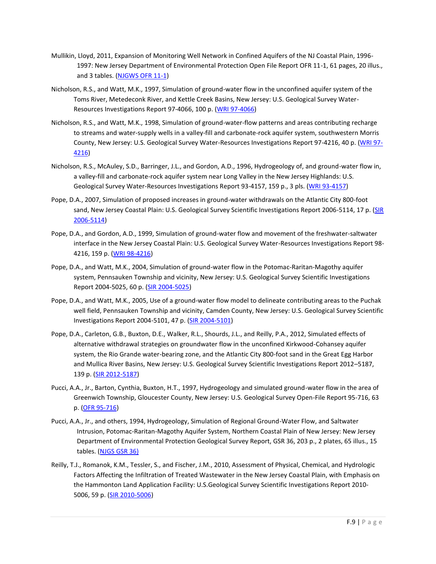- Mullikin, Lloyd, 2011, Expansion of Monitoring Well Network in Confined Aquifers of the NJ Coastal Plain, 1996- 1997: New Jersey Department of Environmental Protection Open File Report OFR 11-1, 61 pages, 20 illus., and 3 tables. [\(NJGWS OFR 11-1\)](http://www.state.nj.us/dep/njgs/pricelst/ofreport/ofr11-1.pdf)
- Nicholson, R.S., and Watt, M.K., 1997, Simulation of ground-water flow in the unconfined aquifer system of the Toms River, Metedeconk River, and Kettle Creek Basins, New Jersey: U.S. Geological Survey Water-Resources Investigations Report 97-4066, 100 p. [\(WRI 97-4066\)](https://pubs.er.usgs.gov/usgspubs/wri/wri974066)
- Nicholson, R.S., and Watt, M.K., 1998, Simulation of ground-water-flow patterns and areas contributing recharge to streams and water-supply wells in a valley-fill and carbonate-rock aquifer system, southwestern Morris County, New Jersey: U.S. Geological Survey Water-Resources Investigations Report 97-4216, 40 p. [\(WRI 97-](https://pubs.er.usgs.gov/usgspubs/wri/wri974216) [4216\)](https://pubs.er.usgs.gov/usgspubs/wri/wri974216)
- Nicholson, R.S., McAuley, S.D., Barringer, J.L., and Gordon, A.D., 1996, Hydrogeology of, and ground-water flow in, a valley-fill and carbonate-rock aquifer system near Long Valley in the New Jersey Highlands: U.S. Geological Survey Water-Resources Investigations Report 93-4157, 159 p., 3 pls. [\(WRI 93-4157\)](https://pubs.er.usgs.gov/usgspubs/wri/wri934157)
- Pope, D.A., 2007, Simulation of proposed increases in ground-water withdrawals on the Atlantic City 800-foot sand, New Jersey Coastal Plain: U.S. Geological Survey Scientific Investigations Report 2006-5114, 17 p. (SIR [2006-5114\)](https://pubs.water.usgs.gov/sir2006-5114/)
- Pope, D.A., and Gordon, A.D., 1999, Simulation of ground-water flow and movement of the freshwater-saltwater interface in the New Jersey Coastal Plain: U.S. Geological Survey Water-Resources Investigations Report 98- 4216, 159 p. [\(WRI 98-4216\)](https://pubs.er.usgs.gov/usgspubs/wri/wri984216)
- Pope, D.A., and Watt, M.K., 2004, Simulation of ground-water flow in the Potomac-Raritan-Magothy aquifer system, Pennsauken Township and vicinity, New Jersey: U.S. Geological Survey Scientific Investigations Report 2004-5025, 60 p. [\(SIR 2004-5025\)](https://pubs.water.usgs.gov/sir20045025/)
- Pope, D.A., and Watt, M.K., 2005, Use of a ground-water flow model to delineate contributing areas to the Puchak well field, Pennsauken Township and vicinity, Camden County, New Jersey: U.S. Geological Survey Scientific Investigations Report 2004-5101, 47 p. [\(SIR 2004-5101\)](https://pubs.water.usgs.gov/sir2004-5101/)
- Pope, D.A., Carleton, G.B., Buxton, D.E., Walker, R.L., Shourds, J.L., and Reilly, P.A., 2012, Simulated effects of alternative withdrawal strategies on groundwater flow in the unconfined Kirkwood-Cohansey aquifer system, the Rio Grande water-bearing zone, and the Atlantic City 800-foot sand in the Great Egg Harbor and Mullica River Basins, New Jersey: U.S. Geological Survey Scientific Investigations Report 2012–5187, 139 p. [\(SIR 2012-5187\)](https://pubs.usgs.gov/sir/2012/5187)
- Pucci, A.A., Jr., Barton, Cynthia, Buxton, H.T., 1997, Hydrogeology and simulated ground-water flow in the area of Greenwich Township, Gloucester County, New Jersey: U.S. Geological Survey Open-File Report 95-716, 63 p. [\(OFR 95-716\)](https://pubs.er.usgs.gov/usgspubs/ofr/ofr95716)
- Pucci, A.A., Jr., and others, 1994, Hydrogeology, Simulation of Regional Ground-Water Flow, and Saltwater Intrusion, Potomac-Raritan-Magothy Aquifer System, Northern Coastal Plain of New Jersey: New Jersey Department of Environmental Protection Geological Survey Report, GSR 36, 203 p., 2 plates, 65 illus., 15 tables. [\(NJGS GSR 36\)](http://www.state.nj.us/dep/njgs/pricelst/gsreport/gsr36.pdf)
- Reilly, T.J., Romanok, K.M., Tessler, S., and Fischer, J.M., 2010, Assessment of Physical, Chemical, and Hydrologic Factors Affecting the Infiltration of Treated Wastewater in the New Jersey Coastal Plain, with Emphasis on the Hammonton Land Application Facility: U.S.Geological Survey Scientific Investigations Report 2010- 5006, 59 p. [\(SIR 2010-5006\)](https://pubs.usgs.gov/sir/2010/5006/)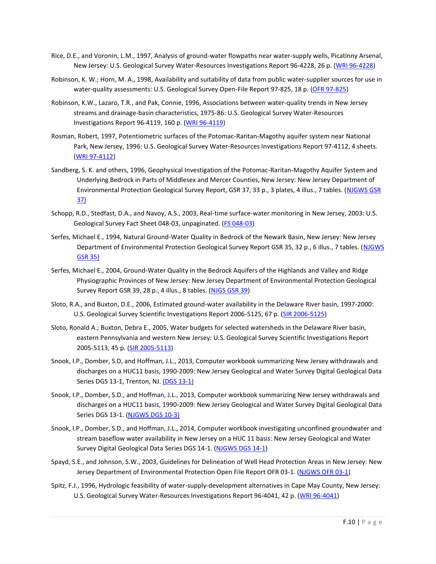- Rice, D.E., and Voronin, L.M., 1997, Analysis of ground-water flowpaths near water-supply wells, Picatinny Arsenal, New Jersey: U.S. Geological Survey Water-Resources Investigations Report 96-4228, 26 p. [\(WRI 96-4228\)](https://pubs.er.usgs.gov/usgspubs/wri/wri964228)
- Robinson, K. W.; Horn, M. A., 1998, Availability and suitability of data from public water-supplier sources for use in water-quality assessments: U.S. Geological Survey Open-File Report 97-825, 18 p. [\(OFR 97-825\)](https://pubs.er.usgs.gov/usgspubs/ofr/ofr97825)
- Robinson, K.W., Lazaro, T.R., and Pak, Connie, 1996, Associations between water-quality trends in New Jersey streams and drainage-basin characteristics, 1975-86: U.S. Geological Survey Water-Resources Investigations Report 96-4119, 160 p. [\(WRI 96-4119\)](https://pubs.er.usgs.gov/usgspubs/wri/wri964119)
- Rosman, Robert, 1997, Potentiometric surfaces of the Potomac-Raritan-Magothy aquifer system near National Park, New Jersey, 1996: U.S. Geological Survey Water-Resources Investigations Report 97-4112, 4 sheets. [\(WRI 97-4112\)](https://pubs.er.usgs.gov/usgspubs/wri/wri974112)
- Sandberg, S. K. and others, 1996, Geophysical Investigation of the Potomac-Raritan-Magothy Aquifer System and Underlying Bedrock in Parts of Middlesex and Mercer Counties, New Jersey: New Jersey Department of Environmental Protection Geological Survey Report, GSR 37, 33 p., 3 plates, 4 illus., 7 tables. [\(NJGWS GSR](http://www.state.nj.us/dep/njgs/pricelst/gsreport/gsr37.pdf)  [37\)](http://www.state.nj.us/dep/njgs/pricelst/gsreport/gsr37.pdf)
- Schopp, R.D., Stedfast, D.A., and Navoy, A.S., 2003, Real-time surface-water monitoring in New Jersey, 2003: U.S. Geological Survey Fact Sheet 048-03, unpaginated. [\(FS 048-03\)](https://pubs.er.usgs.gov/publication/fs04803)
- Serfes, Michael E., 1994, Natural Ground-Water Quality in Bedrock of the Newark Basin, New Jersey: New Jersey Department of Environmental Protection Geological Survey Report GSR 35, 32 p., 6 illus., 7 tables. (NJGWS [GSR 35\)](http://www.state.nj.us/dep/njgs/pricelst/gsreport/gsr35.pdf)
- Serfes, Michael E., 2004, Ground-Water Quality in the Bedrock Aquifers of the Highlands and Valley and Ridge Physiographic Provinces of New Jersey: New Jersey Department of Environmental Protection Geological Survey Report GSR 39, 28 p., 4 illus., 8 tables. [\(NJGS GSR 39\)](http://www.state.nj.us/dep/njgs/pricelst/gsreport/gsr39.pdf)
- Sloto, R.A., and Buxton, D.E., 2006, Estimated ground-water availability in the Delaware River basin, 1997-2000: U.S. Geological Survey Scientific Investigations Report 2006-5125, 67 p. [\(SIR 2006-5125\)](https://pubs.usgs.gov/sir/2006/5125/)
- Sloto, Ronald A.; Buxton, Debra E., 2005, Water budgets for selected watersheds in the Delaware River basin, eastern Pennsylvania and western New Jersey: U.S. Geological Survey Scientific Investigations Report 2005-5113, 45 p. [\(SIR 2005-5113\)](https://pubs.er.usgs.gov/usgspubs/sir/sir20055113)
- Snook, I.P., Domber, S.D, and Hoffman, J.L., 2013, Computer workbook summarizing New Jersey withdrawals and discharges on a HUC11 basis, 1990-2009: New Jersey Geological and Water Survey Digital Geological Data Series DGS 13-1, Trenton, NJ[. \(DGS 13-1\)](http://www.state.nj.us/dep/njgs/geodata/dgs13-1.htm)
- Snook, I.P., Domber, S.D., and Hoffman, J.L., 2013, Computer workbook summarizing New Jersey withdrawals and discharges on a HUC11 basis, 1990-2009: New Jersey Geological and Water Survey Digital Geological Data Series DGS 13-1. [\(NJGWS DGS 10-3\)](http://www.state.nj.us/dep/njgs/geodata/dgs10-3.htm)
- Snook, I.P., Domber, S.D., and Hoffman, J.L., 2014, Computer workbook investigating unconfined groundwater and stream baseflow water availability in New Jersey on a HUC 11 basis: New Jersey Geological and Water Survey Digital Geological Data Series DGS 14-1. [\(NJGWS DGS 14-1\)](http://www.state.nj.us/dep/njgs/geodata/dgs14-1.htm)
- Spayd, S.E., and Johnson, S.W., 2003, Guidelines for Delineation of Well Head Protection Areas in New Jersey: New Jersey Department of Environmental Protection Open File Report OFR 03-1. [\(NJGWS OFR 03-1\)](http://www.state.nj.us/dep/njgs/pricelst/ofreport/ofr03-1.pdf)
- Spitz, F.J., 1996, Hydrologic feasibility of water-supply-development alternatives in Cape May County, New Jersey: U.S. Geological Survey Water-Resources Investigations Report 96-4041, 42 p. [\(WRI 96-4041\)](https://pubs.er.usgs.gov/usgspubs/wri/wri964041)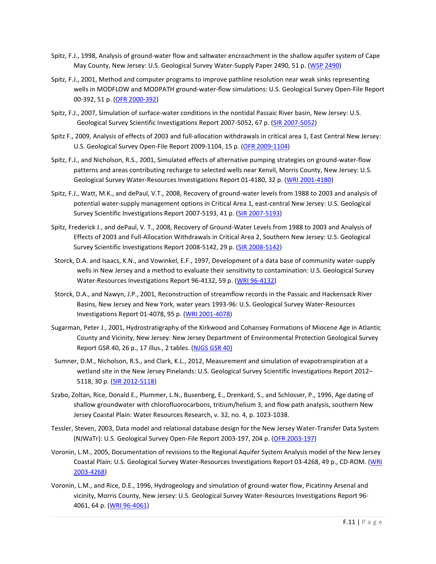- Spitz, F.J., 1998, Analysis of ground-water flow and saltwater encroachment in the shallow aquifer system of Cape May County, New Jersey: U.S. Geological Survey Water-Supply Paper 2490, 51 p. [\(WSP 2490\)](https://pubs.er.usgs.gov/usgspubs/wsp/wsp2490)
- Spitz, F.J., 2001, Method and computer programs to improve pathline resolution near weak sinks representing wells in MODFLOW and MODPATH ground-water-flow simulations: U.S. Geological Survey Open-File Report 00-392, 51 p. [\(OFR 2000-392\)](https://pubs.er.usgs.gov/usgspubs/ofr/ofr00392)
- Spitz, F.J., 2007, Simulation of surface-water conditions in the nontidal Passaic River basin, New Jersey: U.S. Geological Survey Scientific Investigations Report 2007-5052, 67 p. [\(SIR 2007-5052\)](https://pubs.er.usgs.gov/usgspubs/sir/sir20075052)
- Spitz F., 2009, Analysis of effects of 2003 and full-allocation withdrawals in critical area 1, East Central New Jersey: U.S. Geological Survey Open-File Report 2009-1104, 15 p. [\(OFR 2009-1104\)](https://pubs.er.usgs.gov/usgspubs/ofr/ofr20091104)
- Spitz, F.J., and Nicholson, R.S., 2001, Simulated effects of alternative pumping strategies on ground-water-flow patterns and areas contributing recharge to selected wells near Kenvil, Morris County, New Jersey: U.S. Geological Survey Water-Resources Investigations Report 01-4180, 32 p. [\(WRI 2001-4180\)](https://pubs.usgs.gov/wri/wri01-4180/)
- Spitz, F.J., Watt, M.K., and dePaul, V.T., 2008, Recovery of ground-water levels from 1988 to 2003 and analysis of potential water-supply management options in Critical Area 1, east-central New Jersey: U.S. Geological Survey Scientific Investigations Report 2007-5193, 41 p. [\(SIR 2007-5193\)](https://pubs.er.usgs.gov/usgspubs/sir/sir20075193)
- Spitz, Frederick J., and dePaul, V. T., 2008, Recovery of Ground-Water Levels from 1988 to 2003 and Analysis of Effects of 2003 and Full-Allocation Withdrawals in Critical Area 2, Southern New Jersey: U.S. Geological Survey Scientific Investigations Report 2008-5142, 29 p. [\(SIR 2008-5142\)](https://pubs.usgs.gov/sir/2008/5142/)
- Storck, D.A. and Isaacs, K.N., and Vowinkel, E.F., 1997, Development of a data base of community water-supply wells in New Jersey and a method to evaluate their sensitivity to contamination: U.S. Geological Survey Water-Resources Investigations Report 96-4132, 59 p. [\(WRI 96-4132\)](https://pubs.er.usgs.gov/usgspubs/wri/wri964132)
- Storck, D.A., and Nawyn, J.P., 2001, Reconstruction of streamflow records in the Passaic and Hackensack River Basins, New Jersey and New York, water years 1993-96: U.S. Geological Survey Water-Resources Investigations Report 01-4078, 95 p. [\(WRI 2001-4078\)](https://pubs.er.usgs.gov/usgspubs/wri/wri014078)
- Sugarman, Peter J., 2001, Hydrostratigraphy of the Kirkwood and Cohansey Formations of Miocene Age in Atlantic County and Vicinity, New Jersey: New Jersey Department of Environmental Protection Geological Survey Report GSR 40, 26 p., 17 illus., 2 tables. [\(NJGS GSR 40\)](http://www.state.nj.us/dep/njgs/pricelst/gsreport/gsr40.pdf)
- Sumner, D.M., Nicholson, R.S., and Clark, K.L., 2012, Measurement and simulation of evapotranspiration at a wetland site in the New Jersey Pinelands: U.S. Geological Survey Scientific Investigations Report 2012– 5118, 30 p. [\(SIR 2012-5118\)](https://pubs.usgs.gov/sir/2012/5118/)
- Szabo, Zoltan, Rice, Donald E., Plummer, L.N., Busenberg, E., Drenkard, S., and Schlosser, P., 1996, Age dating of shallow groundwater with chlorofluorocarbons, tritium/helium 3, and flow path analysis, southern New Jersey Coastal Plain: Water Resources Research, v. 32, no. 4, p. 1023-1038.
- Tessler, Steven, 2003, Data model and relational database design for the New Jersey Water-Transfer Data System (NJWaTr): U.S. Geological Survey Open-File Report 2003-197, 204 p. [\(OFR 2003-197\)](https://pubs.usgs.gov/of/2003/ofr03197/)
- Voronin, L.M., 2005, Documentation of revisions to the Regional Aquifer System Analysis model of the New Jersey Coastal Plain: U.S. Geological Survey Water-Resources Investigations Report 03-4268, 49 p., CD-ROM. [\(WRI](https://pubs.usgs.gov/wri/wri03-4268/)  [2003-4268\)](https://pubs.usgs.gov/wri/wri03-4268/)
- Voronin, L.M., and Rice, D.E., 1996, Hydrogeology and simulation of ground-water flow, Picatinny Arsenal and vicinity, Morris County, New Jersey: U.S. Geological Survey Water-Resources Investigations Report 96- 4061, 64 p. [\(WRI 96-4061\)](https://pubs.er.usgs.gov/usgspubs/wri/wri964061)